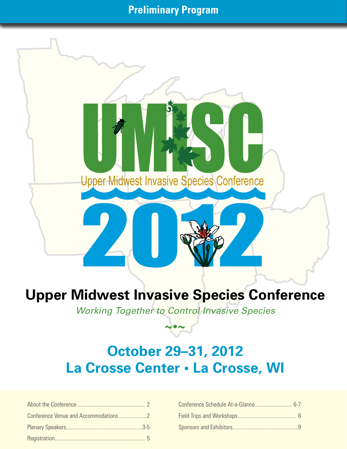## **Preliminary Program**

Upper Midwest Invasive Species Conference

# 2012 **Upper Midwest Invasive Species Conference**

*Working Together to Control Invasive Species*

**~•~**

# **October 29–31, 2012 La Crosse Center • La Crosse, WI**

| Conference Schedule At-a-Glance 6-7 |  |
|-------------------------------------|--|
|                                     |  |
|                                     |  |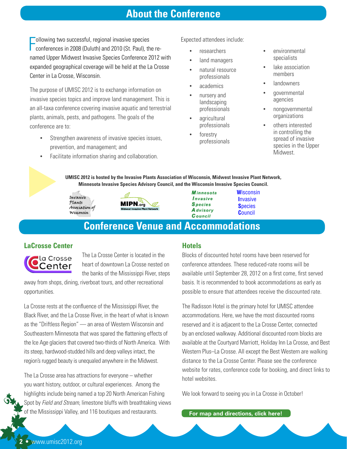### **About the Conference**

Following two successful, regional invasive species<br>
conferences in 2008 (Duluth) and 2010 (St. Paul), the reollowing two successful, regional invasive species named Upper Midwest Invasive Species Conference 2012 with expanded geographical coverage will be held at the La Crosse Center in La Crosse, Wisconsin.

The purpose of UMISC 2012 is to exchange information on invasive species topics and improve land management. This is an all-taxa conference covering invasive aquatic and terrestrial plants, animals, pests, and pathogens. The goals of the conference are to:

- Strengthen awareness of invasive species issues, prevention, and management; and
- • Facilitate information sharing and collaboration.

Expected attendees include:

- **researchers**
- land managers
- natural resource professionals
- academics
- nursery and landscaping professionals
- agricultural professionals
- forestry professionals
- environmental specialists
- lake association members
- landowners
- aovernmental agencies
- nongovernmental organizations
- others interested in controlling the spread of invasive species in the Upper Midwest.

# **UMISC 2012 is hosted by the Invasive Plants Association of Wisconsin, Midwest Invasive Plant Network, MINSC 2012 is hosted by the Invasive Plants Association of Wisconsin, Midwest Invasive Plant Ne<br>
Minnesota Invasive Species Advisory Council, and the Wisconsin Invasive Species Council.<br>** *Minnesota* **Wisconsin**

Plants Association of Wisconsin



**Species A** dvisory Council

**W**isconsin  **I**nvasive  **S**pecies  **C**ouncil

## **Conference Venue and Accommodations**

#### **LaCrosse Center**



The La Crosse Center is located in the heart of downtown La Crosse nested on the banks of the Mississippi River, steps

away from shops, dining, riverboat tours, and other recreational opportunities.

La Crosse rests at the confluence of the Mississippi River, the Black River, and the La Crosse River, in the heart of what is known as the "Driftless Region" — an area of Western Wisconsin and Southeastern Minnesota that was spared the flattening effects of the Ice Age glaciers that covered two-thirds of North America. With its steep, hardwood-studded hills and deep valleys intact, the region's rugged beauty is unequaled anywhere in the Midwest.

The La Crosse area has attractions for everyone – whether you want history, outdoor, or cultural experiences. Among the highlights include being named a top 20 North American Fishing Spot by *Field and Stream*, limestone bluffs with breathtaking views of the Mississippi Valley, and 116 boutiques and restaurants.

#### **Hotels**

Blocks of discounted hotel rooms have been reserved for conference attendees. These reduced-rate rooms will be available until September 28, 2012 on a first come, first served basis. It is recommended to book accommodations as early as possible to ensure that attendees receive the discounted rate.

The Radisson Hotel is the primary hotel for UMISC attendee accommodations. Here, we have the most discounted rooms reserved and it is adjacent to the La Crosse Center, connected by an enclosed walkway. Additional discounted room blocks are available at the Courtyard Marriott, Holiday Inn La Crosse, and Best Western Plus–La Crosse. All except the Best Western are walking distance to the La Crosse Center. Please see the conference website for rates, conference code for booking, and direct links to hotel websites.

We look forward to seeing you in La Crosse in October!

**For map and directions, click here!**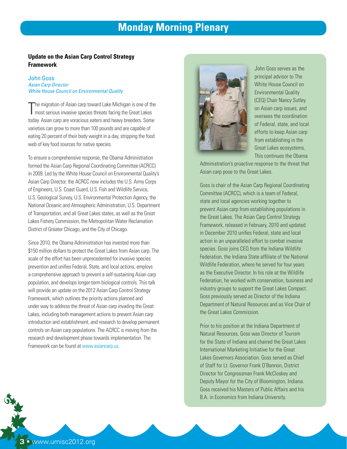## **Monday Morning Plenary**

#### **Update on the Asian Carp Control Strategy Framework**

#### John Goss *Asian Carp Director White House Council on Environmental Quality*

The migration of Asian carp toward Lake Michigan is one of the most serious invasive species threats facing the Great Lakes he migration of Asian carp toward Lake Michigan is one of the today. Asian carp are voracious eaters and heavy breeders. Some varieties can grow to more than 100 pounds and are capable of eating 20 percent of their body weight in a day, stripping the food web of key food sources for native species.

To ensure a comprehensive response, the Obama Administration formed the Asian Carp Regional Coordinating Committee (ACRCC) in 2009. Led by the White House Council on Environmental Quality's Asian Carp Director, the ACRCC now includes the U.S. Army Corps of Engineers, U.S. Coast Guard, U.S. Fish and Wildlife Service, U.S. Geological Survey, U.S. Environmental Protection Agency, the National Oceanic and Atmospheric Administration, U.S. Department of Transportation, and all Great Lakes states, as well as the Great Lakes Fishery Commission, the Metropolitan Water Reclamation District of Greater Chicago, and the City of Chicago.

Since 2010, the Obama Administration has invested more than \$150 million dollars to protect the Great Lakes from Asian carp. The scale of the effort has been unprecedented for invasive species prevention and unifies Federal, State, and local actions, employs a comprehensive approach to prevent a self-sustaining Asian carp population, and develops longer-term biological controls. This talk will provide an update on the 2012 Asian Carp Control Strategy Framework, which outlines the priority actions planned and under way to address the threat of Asian carp invading the Great Lakes, including both management actions to prevent Asian carp introduction and establishment, and research to develop permanent controls on Asian carp populations. The ACRCC is moving from the research and development phase towards implementation. The Framework can be found at www.asiancarp.us.



John Goss serves as the principal advisor to The White House Council on Environmental Quality (CEQ) Chair Nancy Sutley on Asian carp issues, and oversees the coordination of Federal, state, and local efforts to keep Asian carp from establishing in the Great Lakes ecosystems. This continues the Obama

Administration's proactive response to the threat that Asian carp pose to the Great Lakes.

Goss is chair of the Asian Carp Regional Coordinating Committee (ACRCC), which is a team of Federal, state and local agencies working together to prevent Asian carp from establishing populations in the Great Lakes. The Asian Carp Control Strategy Framework, released in February, 2010 and updated in December 2010 unifies Federal, state and local action in an unparalleled effort to combat invasive species. Goss joins CEQ from the Indiana Wildlife Federation, the Indiana State affiliate of the National Wildlife Federation, where he served for four years as the Executive Director. In his role at the Wildlife Federation, he worked with conservation, business and industry groups to support the Great Lakes Compact. Goss previously served as Director of the Indiana Department of Natural Resources and as Vice Chair of the Great Lakes Commission.

Prior to his position at the Indiana Department of Natural Resources, Goss was Director of Tourism for the State of Indiana and chaired the Great Lakes International Marketing Initiative for the Great Lakes Governors Association. Goss served as Chief of Staff for Lt. Governor Frank O'Bannon, District Director for Congressman Frank McCloskey and Deputy Mayor for the City of Bloomington, Indiana. Goss received his Masters of Public Affairs and his B.A. in Economics from Indiana University.

**3** • www.umisc2012.org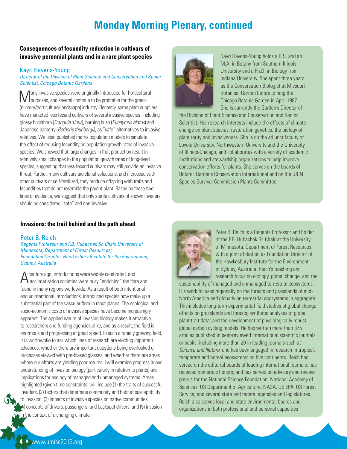## **Monday Morning Plenary, continued**

#### **Consequences of fecundity reduction in cultivars of invasive perennial plants and in a rare plant species**

#### Kayri Havens-Young

#### *Director of the Division of Plant Science and Conservation and Senior Scientist, Chicago Botanic Gardens*

Many invasive species were originally introduced for horticultural purposes, and several continue to be profitable for the green (nursery/horticulture/landscape) industry. Recently, some plant suppliers have marketed less fecund cultivars of several invasive species, including glossy buckthorn (*Frangula alnus*), burning bush (*Euonymus alatus*) and Japanese barberry (*Berberis thunbergii*), as "safe" alternatives to invasive relatives. We used published matrix population models to simulate the effect of reducing fecundity on population growth rates of invasive species. We showed that large changes in fruit production result in relatively small changes to the population growth rates of long-lived species, suggesting that less fecund cultivars may still provide an invasive threat. Further, many cultivars are clonal selections, and if crossed with other cultivars or self-fertilized, they produce offspring with traits and fecundities that do not resemble the parent plant. Based on these two lines of evidence, we suggest that only sterile cultivars of known invaders should be considered "safe" and non-invasive.



Kayri Havens-Young holds a B.S. and an M.A. in Botany from Southern Illinois University and a Ph.D. in Biology from Indiana University. She spent three years as the Conservation Biologist at Missouri Botanical Garden before joining the Chicago Botanic Garden in April 1997. She is currently the Garden's Director of

the Division of Plant Science and Conservation and Senior Scientist. Her research interests include the effects of climate change on plant species, restoration genetics, the biology of plant rarity and invasiveness. She is on the adjunct faculty of Loyola University, Northwestern University and the University of Illinois-Chicago, and collaborates with a variety of academic institutions and stewardship organizations to help improve conservation efforts for plants. She serves on the boards of Botanic Gardens Conservation International and on the IUCN Species Survival Commission Plants Committee.

#### **Invasions: the trail behind and the path ahead**

#### Peter B. Reich

*Regents Professor and F.B. Hubachek Sr. Chair, University of Minnesota, Department of Forest Resources; Foundation Director, Hawkesbury Institute for the Environment, Sydney, Australia*

 $\bigwedge$  century ago, introductions were widely celebrated, and<br>acclimatization societies were busy "enriching" the flora and fauna in many regions worldwide. As a result of both intentional and unintentional introductions, introduced species now make up a substantial part of the vascular flora in most places. The ecological and socio-economic costs of invasive species have become increasingly apparent. The applied nature of invasion biology makes it attractive to researchers and funding agencies alike, and as a result, the field is enormous and progressing at great speed. In such a rapidly growing field, it is worthwhile to ask which lines of research are yielding important advances, whether there are important questions being overlooked or processes viewed with pre-biased glasses, and whether there are areas where our efforts are yielding poor returns. I will examine progress in our understanding of invasion biology (particularly in relation to plants) and implications for ecology of managed and unmanaged systems. Areas highlighted (given time constraints) will include (1) the traits of successful invaders, (2) factors that determine community and habitat susceptibility to invasion, (3) impacts of invasive species on native communities, (4) concepts of drivers, passengers, and backseat drivers, and (5) invasion in the context of a changing climate.



Peter B. Reich is a Regents Professor and holder of the F.B. Hubachek Sr. Chair at the University of Minnesota, Department of Forest Resources, with a joint affiliation as Foundation Director of the Hawkesbury Institute for the Environment in Sydney, Australia. Reich's teaching and research focus on ecology, global change, and the

sustainability of managed and unmanaged terrestrial ecosystems. His work focuses regionally on the forests and grasslands of mid-North America and globally on terrestrial ecosystems in aggregate. This includes long-term experimental field studies of global change effects on grasslands and forests; synthetic analyses of global plant trait data; and the development of physiologically robust global carbon cycling models. He has written more than 375 articles published in peer-reviewed international scientific journals or books, including more than 20 in leading journals such as *Science and Nature*; and has been engaged in research in tropical, temperate and boreal ecosystems on five continents. Reich has served on the editorial boards of leading international journals; has received numerous honors; and has served on advisory and review panels for the National Science Foundation, National Academy of Sciences, US Department of Agriculture, NASA, US EPA, US Forest Service; and several state and federal agencies and legislatures. Reich also serves local and state environmental boards and organizations in both professional and personal capacities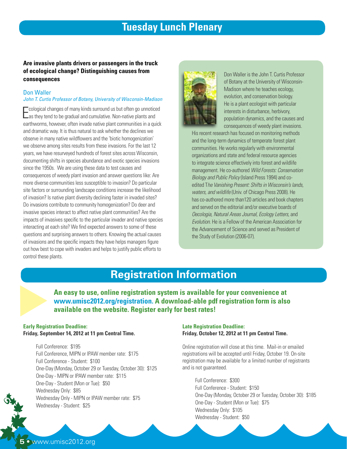## **Tuesday Lunch Plenary**

#### **Are invasive plants drivers or passengers in the truck of ecological change? Distinguishing causes from consequences**

#### Don Waller *John T. Curtis Professor of Botany, University of Wisconsin-Madison*

Ecological changes of many kinds surround us but often go unnotice<br>Las they tend to be gradual and cumulative. Non-native plants and cological changes of many kinds surround us but often go unnoticed earthworms, however, often invade native plant communities in a quick and dramatic way. It is thus natural to ask whether the declines we observe in many native wildflowers and the 'biotic homogenization' we observe among sites results from these invasions. For the last 12 years, we have resurveyed hundreds of forest sites across Wisconsin, documenting shifts in species abundance and exotic species invasions since the 1950s. We are using these data to test causes and consequences of weedy plant invasion and answer questions like: Are more diverse communities less susceptible to invasion? Do particular site factors or surrounding landscape conditions increase the likelihood of invasion? Is native plant diversity declining faster in invaded sites? Do invasions contribute to community homogenization? Do deer and invasive species interact to affect native plant communities? Are the impacts of invasives specific to the particular invader and native species interacting at each site? We find expected answers to some of these questions and surprising answers to others. Knowing the actual causes of invasions and the specific impacts they have helps managers figure out how best to cope with invaders and helps to justify public efforts to control these plants.



Don Waller is the John T. Curtis Professor of Botany at the University of Wisconsin-Madison where he teaches ecology, evolution, and conservation biology. He is a plant ecologist with particular interests in disturbance, herbivory, population dynamics, and the causes and consequences of weedy plant invasions.

His recent research has focused on monitoring methods and the long-term dynamics of temperate forest plant communities. He works regularly with environmental organizations and state and federal resource agencies to integrate science effectively into forest and wildlife management. He co-authored *Wild Forests: Conservation Biology and Public Policy* (Island Press 1994) and coedited T*he Vanishing Present: Shifts in Wisconsin's lands, waters, and wildlife* (Univ. of Chicago Press 2008). He has co-authored more than120 articles and book chapters and served on the editorial and/or executive boards of *Oecologia, Natural Areas Journal, Ecology Letters,* and *Evolution*. He is a Fellow of the American Association for the Advancement of Science and served as President of the Study of Evolution (2006-07).

## **Registration Information**

**An easy to use, online registration system is available for your convenience at www.umisc2012.org/registration. A download-able pdf registration form is also An easy to use, online registration system is available www.umisc2012.org/registration. A download-able pd available on the website. Register early for best rates!** 

#### **Early Registration Deadline: Friday, September 14, 2012 at 11 pm Central Time.**

Full Conference: \$195 Full Conference, MIPN or IPAW member rate: \$175 Full Conference - Student: \$100 One-Day (Monday, October 29 or Tuesday, October 30): \$125 One-Day - MIPN or IPAW member rate: \$115 One-Day - Student (Mon or Tue): \$50 Wednesday Only: \$85 Wednesday Only - MIPN or IPAW member rate: \$75 Wednesday - Student: \$25

#### **Late Registration Deadline: Friday, October 12, 2012 at 11 pm Central Time.**

Online registration will close at this time. Mail-in or emailed registrations will be accepted until Friday, October 19. On-site registration may be available for a limited number of registrants and is not guaranteed.

Full Conference: \$300 Full Conference - Student: \$150 One-Day (Monday, October 29 or Tuesday, October 30): \$185 One-Day - Student (Mon or Tue): \$75 Wednesday Only: \$105 Wednesday - Student: \$50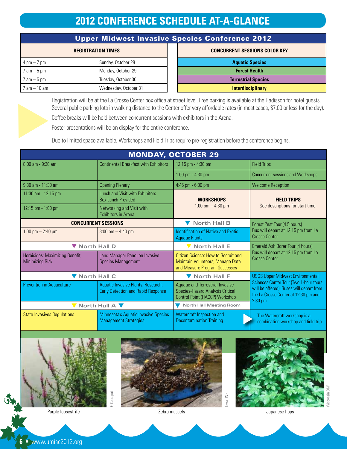## **2012 CONFERENCE SCHEDULE AT-A-GLANCE**

|  | Upper Midwest Invasive Species Conference 2012 |
|--|------------------------------------------------|
|  |                                                |

| <b>REGISTRATION TIMES</b>     |                       |  | <b>CONCURRENT SESSIONS CO</b> |
|-------------------------------|-----------------------|--|-------------------------------|
| $4 \text{ pm} - 7 \text{ pm}$ | Sunday, October 28    |  | <b>Aquatic Species</b>        |
| $7$ am $-5$ pm                | Monday, October 29    |  | <b>Forest Health</b>          |
| $7$ am $-5$ pm                | Tuesday, October 30   |  | <b>Terrestrial Species</b>    |
| $7$ am $-$ 10 am              | Wednesday, October 31 |  | <b>Interdisciplinary</b>      |

| REGISTRATION TIMES    | <b>CONCURRENT SESSIONS COLOR KEY</b> |
|-----------------------|--------------------------------------|
| Sunday, October 28    | <b>Aquatic Species</b>               |
| Monday, October 29    | <b>Forest Health</b>                 |
| Tuesday, October 30   | <b>Terrestrial Species</b>           |
| Wednesday, October 31 | <b>Interdisciplinary</b>             |

Registration will be at the La Crosse Center box office at street level. Free parking is available at the Radisson for hotel guests. Several public parking lots in walking distance to the Center offer very affordable rates (in most cases, \$7.00 or less for the day).

Coffee breaks will be held between concurrent sessions with exhibitors in the Arena.

Poster presentations will be on display for the entire conference.

Due to limited space available, Workshops and Field Trips require pre-registration before the conference begins.

| <b>MONDAY, OCTOBER 29</b>                                 |                                                                                 |                                                                                                               |                                                                                                                                                                                    |  |
|-----------------------------------------------------------|---------------------------------------------------------------------------------|---------------------------------------------------------------------------------------------------------------|------------------------------------------------------------------------------------------------------------------------------------------------------------------------------------|--|
| $8:00$ am - $9:30$ am                                     | <b>Continental Breakfast with Exhibitors</b>                                    | 12:15 pm - 4:30 pm                                                                                            | <b>Field Trips</b>                                                                                                                                                                 |  |
|                                                           |                                                                                 | $1:00$ pm $- 4:30$ pm                                                                                         | <b>Concurrent sessions and Workshops</b>                                                                                                                                           |  |
| $9:30$ am - 11:30 am<br><b>Opening Plenary</b>            |                                                                                 | 4:45 pm - 6:30 pm                                                                                             | <b>Welcome Reception</b>                                                                                                                                                           |  |
| 11:30 am - 12:15 pm                                       | Lunch and Visit with Exhibitors<br><b>Box Lunch Provided</b>                    |                                                                                                               | <b>FIELD TRIPS</b>                                                                                                                                                                 |  |
| 12:15 pm - 1:00 pm                                        | Networking and Visit with<br><b>Exhibitors in Arena</b>                         | 1:00 pm $-$ 4:30 pm                                                                                           | See descriptions for start time.                                                                                                                                                   |  |
|                                                           | <b>CONCURRENT SESSIONS</b>                                                      | <b>North Hall B</b>                                                                                           | Forest Pest Tour (4.5 hours)                                                                                                                                                       |  |
| 1:00 pm $-$ 2:40 pm                                       | $3:00 \text{ pm} - 4:40 \text{ pm}$                                             | <b>Identification of Native and Exotic</b><br><b>Aquatic Plants</b>                                           | Bus will depart at 12:15 pm from La<br><b>Crosse Center</b>                                                                                                                        |  |
| V North Hall D                                            |                                                                                 | <b>North Hall E</b>                                                                                           | Emerald Ash Borer Tour (4 hours)                                                                                                                                                   |  |
| Herbicides: Maximizing Benefit,<br><b>Minimizing Risk</b> | Land Manager Panel on Invasive<br><b>Species Management</b>                     | Citizen Science: How to Recruit and<br>Maintain Volunteers; Manage Data<br>and Measure Program Successes      | Bus will depart at 12:15 pm from La<br><b>Crosse Center</b>                                                                                                                        |  |
| ▼ North Hall C                                            |                                                                                 | ▼ North Hall F                                                                                                | <b>USGS Upper Midwest Environmental</b><br>Sciences Center Tour (Two 1-hour tours<br>will be offered). Buses will depart from<br>the La Crosse Center at 12:30 pm and<br>$2:30$ pm |  |
| <b>Prevention in Aquaculture</b>                          | Aquatic Invasive Plants: Research,<br><b>Early Detection and Rapid Response</b> | <b>Aquatic and Terrestrial Invasive</b><br>Species-Hazard Analysis Critical<br>Control Point (HACCP) Workshop |                                                                                                                                                                                    |  |
|                                                           | North Hall A                                                                    | North Hall Meeting Room                                                                                       |                                                                                                                                                                                    |  |
| <b>State Invasives Regulations</b>                        | <b>Minnesota's Aquatic Invasive Species</b><br><b>Management Strategies</b>     | Watercraft Inspection and<br><b>Decontamination Training</b>                                                  | The Watercraft workshop is a<br>combination workshop and field trip.                                                                                                               |  |



Wisconsin DNR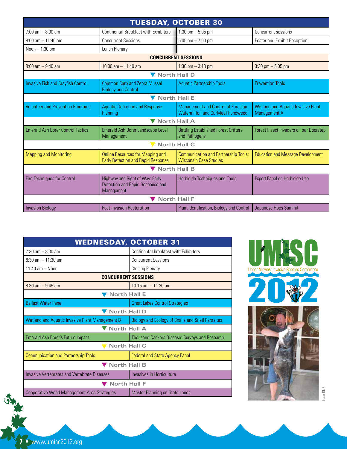| <b>TUESDAY, OCTOBER 30</b>                |                                                                                      |                                                                                         |                                                                  |  |
|-------------------------------------------|--------------------------------------------------------------------------------------|-----------------------------------------------------------------------------------------|------------------------------------------------------------------|--|
| $7:00$ am $-8:00$ am                      | <b>Continental Breakfast with Exhibitors</b>                                         | 1:30 pm $-5:05$ pm                                                                      | Concurrent sessions                                              |  |
| $8:00$ am $-11:40$ am                     | <b>Concurrent Sessions</b>                                                           | 5:05 pm $-7:00$ pm                                                                      | Poster and Exhibit Reception                                     |  |
| Noon $-1:30$ pm                           | Lunch Plenary                                                                        |                                                                                         |                                                                  |  |
|                                           |                                                                                      | <b>CONCURRENT SESSIONS</b>                                                              |                                                                  |  |
| $8:00 \text{ am} - 9:40 \text{ am}$       | $10:00$ am $- 11:40$ am                                                              | 1:30 pm $-$ 3:10 pm                                                                     | $3:30$ pm $-5:05$ pm                                             |  |
|                                           | V North Hall D                                                                       |                                                                                         |                                                                  |  |
| <b>Invasive Fish and Crayfish Control</b> | <b>Common Carp and Zebra Mussel</b><br><b>Biology and Control</b>                    | <b>Aquatic Partnership Tools</b>                                                        | <b>Prevention Tools</b>                                          |  |
| V North Hall E                            |                                                                                      |                                                                                         |                                                                  |  |
| <b>Volunteer and Prevention Programs</b>  | <b>Aquatic Detection and Response</b><br>Planning                                    | <b>Management and Control of Eurasian</b><br><b>Watermilfoil and Curlyleaf Pondweed</b> | <b>Wetland and Aquatic Invasive Plant</b><br><b>Management A</b> |  |
|                                           | <b>North Hall A</b>                                                                  |                                                                                         |                                                                  |  |
| <b>Emerald Ash Borer Control Tactics</b>  | Emerald Ash Borer Landscape Level<br>Management                                      | <b>Battling Established Forest Critters</b><br>and Pathogens                            | Forest Insect Invaders on our Doorstep                           |  |
| <b>North Hall C</b>                       |                                                                                      |                                                                                         |                                                                  |  |
| <b>Mapping and Monitoring</b>             | <b>Online Resources for Mapping and</b><br><b>Early Detection and Rapid Response</b> | <b>Communication and Partnership Tools:</b><br><b>Wisconsin Case Studies</b>            | <b>Education and Message Development</b>                         |  |
| ▼ North Hall B                            |                                                                                      |                                                                                         |                                                                  |  |
| <b>Fire Techniques for Control</b>        | Highway and Right of Way: Early<br>Detection and Rapid Response and<br>Management    | <b>Herbicide Techniques and Tools</b>                                                   | <b>Expert Panel on Herbicide Use</b>                             |  |
| <b>North Hall F</b>                       |                                                                                      |                                                                                         |                                                                  |  |
| <b>Invasion Biology</b>                   | <b>Post-Invasion Restoration</b>                                                     | Plant Identification, Biology and Control                                               | Japanese Hops Summit                                             |  |

| <b>WEDNESDAY, OCTOBER 31</b>                       |                                                          |  |  |
|----------------------------------------------------|----------------------------------------------------------|--|--|
| $7:30$ am $- 8:30$ am                              | Continental breakfast with Exhibitors                    |  |  |
| $8:30$ am $-11:30$ am                              | <b>Concurrent Sessions</b>                               |  |  |
| $11.40$ am - Noon                                  | <b>Closing Plenary</b>                                   |  |  |
| <b>CONCURRENT SESSIONS</b>                         |                                                          |  |  |
| $8:30$ am $-9:45$ am                               | $10:15$ am $-11:30$ am                                   |  |  |
| <b>North Hall E</b>                                |                                                          |  |  |
| <b>Ballast Water Panel</b>                         | <b>Great Lakes Control Strategies</b>                    |  |  |
| <b>North Hall D</b>                                |                                                          |  |  |
| Wetland and Aquatic Invasive Plant Management B    | <b>Biology and Ecology of Snails and Snail Parasites</b> |  |  |
| <b>North Hall A</b>                                |                                                          |  |  |
| <b>Emerald Ash Borer's Future Impact</b>           | <b>Thousand Cankers Disease: Surveys and Research</b>    |  |  |
| <b>North Hall C</b>                                |                                                          |  |  |
| <b>Communication and Partnership Tools</b>         | <b>Federal and State Agency Panel</b>                    |  |  |
| North Hall B                                       |                                                          |  |  |
| Invasive Vertebrates and Vertebrate Diseases       | Invasives in Horticulture                                |  |  |
| <b>North Hall F</b>                                |                                                          |  |  |
| <b>Cooperative Weed Management Area Strategies</b> | Master Planning on State Lands                           |  |  |





Iowa DNR